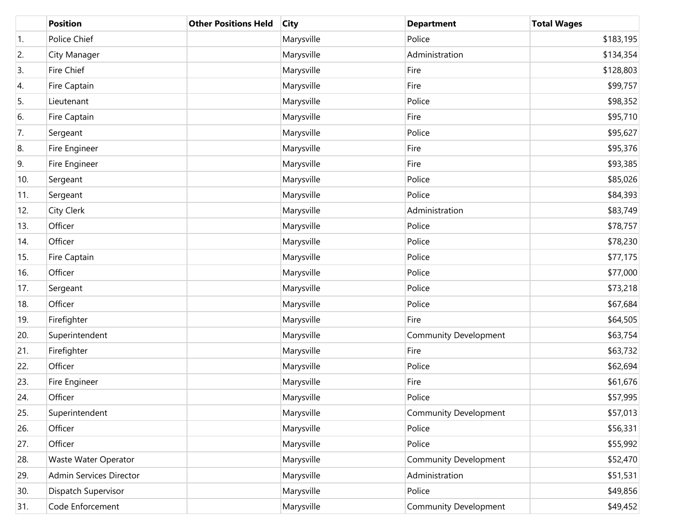|     | <b>Position</b>         | <b>Other Positions Held</b> | <b>City</b> | <b>Department</b>            | <b>Total Wages</b> |
|-----|-------------------------|-----------------------------|-------------|------------------------------|--------------------|
| 1.  | Police Chief            |                             | Marysville  | Police                       | \$183,195          |
| 2.  | City Manager            |                             | Marysville  | Administration               | \$134,354          |
| 3.  | Fire Chief              |                             | Marysville  | Fire                         | \$128,803          |
| 4.  | Fire Captain            |                             | Marysville  | Fire                         | \$99,757           |
| 5.  | Lieutenant              |                             | Marysville  | Police                       | \$98,352           |
| 6.  | Fire Captain            |                             | Marysville  | Fire                         | \$95,710           |
| 7.  | Sergeant                |                             | Marysville  | Police                       | \$95,627           |
| 8.  | Fire Engineer           |                             | Marysville  | Fire                         | \$95,376           |
| 9.  | Fire Engineer           |                             | Marysville  | Fire                         | \$93,385           |
| 10. | Sergeant                |                             | Marysville  | Police                       | \$85,026           |
| 11. | Sergeant                |                             | Marysville  | Police                       | \$84,393           |
| 12. | City Clerk              |                             | Marysville  | Administration               | \$83,749           |
| 13. | Officer                 |                             | Marysville  | Police                       | \$78,757           |
| 14. | Officer                 |                             | Marysville  | Police                       | \$78,230           |
| 15. | Fire Captain            |                             | Marysville  | Police                       | \$77,175           |
| 16. | Officer                 |                             | Marysville  | Police                       | \$77,000           |
| 17. | Sergeant                |                             | Marysville  | Police                       | \$73,218           |
| 18. | Officer                 |                             | Marysville  | Police                       | \$67,684           |
| 19. | Firefighter             |                             | Marysville  | Fire                         | \$64,505           |
| 20. | Superintendent          |                             | Marysville  | <b>Community Development</b> | \$63,754           |
| 21. | Firefighter             |                             | Marysville  | Fire                         | \$63,732           |
| 22. | Officer                 |                             | Marysville  | Police                       | \$62,694           |
| 23. | Fire Engineer           |                             | Marysville  | Fire                         | \$61,676           |
| 24. | Officer                 |                             | Marysville  | Police                       | \$57,995           |
| 25. | Superintendent          |                             | Marysville  | <b>Community Development</b> | \$57,013           |
| 26. | Officer                 |                             | Marysville  | Police                       | \$56,331           |
| 27. | Officer                 |                             | Marysville  | Police                       | \$55,992           |
| 28. | Waste Water Operator    |                             | Marysville  | Community Development        | \$52,470           |
| 29. | Admin Services Director |                             | Marysville  | Administration               | \$51,531           |
| 30. | Dispatch Supervisor     |                             | Marysville  | Police                       | \$49,856           |
| 31. | Code Enforcement        |                             | Marysville  | <b>Community Development</b> | \$49,452           |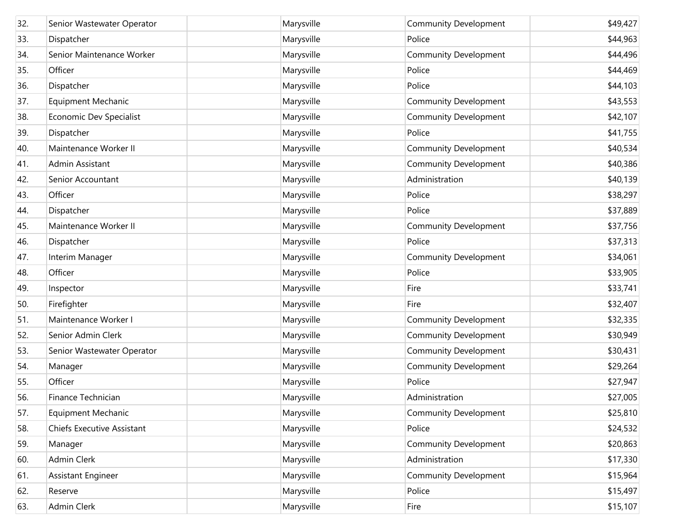| 32. | Senior Wastewater Operator | Marysville | <b>Community Development</b> | \$49,427 |
|-----|----------------------------|------------|------------------------------|----------|
| 33. | Dispatcher                 | Marysville | Police                       | \$44,963 |
| 34. | Senior Maintenance Worker  | Marysville | <b>Community Development</b> | \$44,496 |
| 35. | Officer                    | Marysville | Police                       | \$44,469 |
| 36. | Dispatcher                 | Marysville | Police                       | \$44,103 |
| 37. | <b>Equipment Mechanic</b>  | Marysville | <b>Community Development</b> | \$43,553 |
| 38. | Economic Dev Specialist    | Marysville | <b>Community Development</b> | \$42,107 |
| 39. | Dispatcher                 | Marysville | Police                       | \$41,755 |
| 40. | Maintenance Worker II      | Marysville | <b>Community Development</b> | \$40,534 |
| 41. | Admin Assistant            | Marysville | <b>Community Development</b> | \$40,386 |
| 42. | Senior Accountant          | Marysville | Administration               | \$40,139 |
| 43. | Officer                    | Marysville | Police                       | \$38,297 |
| 44. | Dispatcher                 | Marysville | Police                       | \$37,889 |
| 45. | Maintenance Worker II      | Marysville | <b>Community Development</b> | \$37,756 |
| 46. | Dispatcher                 | Marysville | Police                       | \$37,313 |
| 47. | Interim Manager            | Marysville | <b>Community Development</b> | \$34,061 |
| 48. | Officer                    | Marysville | Police                       | \$33,905 |
| 49. | Inspector                  | Marysville | Fire                         | \$33,741 |
| 50. | Firefighter                | Marysville | Fire                         | \$32,407 |
| 51. | Maintenance Worker I       | Marysville | <b>Community Development</b> | \$32,335 |
| 52. | Senior Admin Clerk         | Marysville | <b>Community Development</b> | \$30,949 |
| 53. | Senior Wastewater Operator | Marysville | <b>Community Development</b> | \$30,431 |
| 54. | Manager                    | Marysville | <b>Community Development</b> | \$29,264 |
| 55. | Officer                    | Marysville | Police                       | \$27,947 |
| 56. | Finance Technician         | Marysville | Administration               | \$27,005 |
| 57. | <b>Equipment Mechanic</b>  | Marysville | <b>Community Development</b> | \$25,810 |
| 58. | Chiefs Executive Assistant | Marysville | Police                       | \$24,532 |
| 59. | Manager                    | Marysville | <b>Community Development</b> | \$20,863 |
| 60. | <b>Admin Clerk</b>         | Marysville | Administration               | \$17,330 |
| 61. | Assistant Engineer         | Marysville | Community Development        | \$15,964 |
| 62. | Reserve                    | Marysville | Police                       | \$15,497 |
| 63. | Admin Clerk                | Marysville | Fire                         | \$15,107 |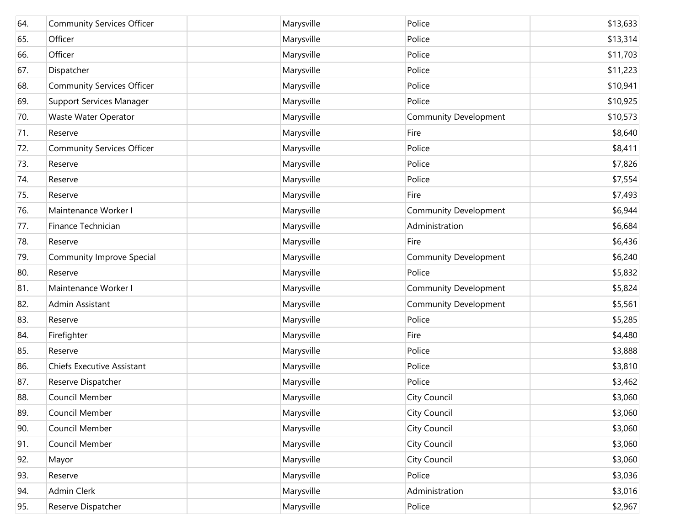| 64. | <b>Community Services Officer</b> | Marysville | Police                       | \$13,633 |
|-----|-----------------------------------|------------|------------------------------|----------|
| 65. | Officer                           | Marysville | Police                       | \$13,314 |
| 66. | Officer                           | Marysville | Police                       | \$11,703 |
| 67. | Dispatcher                        | Marysville | Police                       | \$11,223 |
| 68. | <b>Community Services Officer</b> | Marysville | Police                       | \$10,941 |
| 69. | <b>Support Services Manager</b>   | Marysville | Police                       | \$10,925 |
| 70. | Waste Water Operator              | Marysville | <b>Community Development</b> | \$10,573 |
| 71. | Reserve                           | Marysville | Fire                         | \$8,640  |
| 72. | <b>Community Services Officer</b> | Marysville | Police                       | \$8,411  |
| 73. | Reserve                           | Marysville | Police                       | \$7,826  |
| 74. | Reserve                           | Marysville | Police                       | \$7,554  |
| 75. | Reserve                           | Marysville | Fire                         | \$7,493  |
| 76. | Maintenance Worker I              | Marysville | <b>Community Development</b> | \$6,944  |
| 77. | Finance Technician                | Marysville | Administration               | \$6,684  |
| 78. | Reserve                           | Marysville | Fire                         | \$6,436  |
| 79. | Community Improve Special         | Marysville | <b>Community Development</b> | \$6,240  |
| 80. | Reserve                           | Marysville | Police                       | \$5,832  |
| 81. | Maintenance Worker I              | Marysville | Community Development        | \$5,824  |
| 82. | Admin Assistant                   | Marysville | Community Development        | \$5,561  |
| 83. | Reserve                           | Marysville | Police                       | \$5,285  |
| 84. | Firefighter                       | Marysville | Fire                         | \$4,480  |
| 85. | Reserve                           | Marysville | Police                       | \$3,888  |
| 86. | Chiefs Executive Assistant        | Marysville | Police                       | \$3,810  |
| 87. | Reserve Dispatcher                | Marysville | Police                       | \$3,462  |
| 88. | Council Member                    | Marysville | City Council                 | \$3,060  |
| 89. | Council Member                    | Marysville | City Council                 | \$3,060  |
| 90. | Council Member                    | Marysville | City Council                 | \$3,060  |
| 91. | Council Member                    | Marysville | City Council                 | \$3,060  |
| 92. | Mayor                             | Marysville | City Council                 | \$3,060  |
| 93. | Reserve                           | Marysville | Police                       | \$3,036  |
| 94. | <b>Admin Clerk</b>                | Marysville | Administration               | \$3,016  |
| 95. | Reserve Dispatcher                | Marysville | Police                       | \$2,967  |